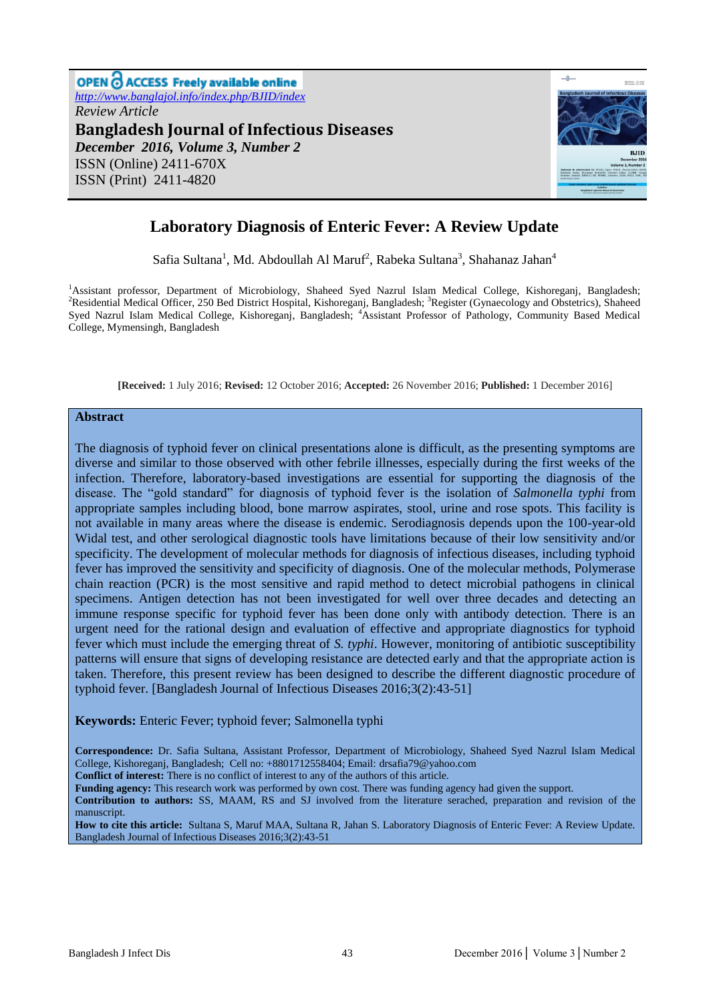

# **Laboratory Diagnosis of Enteric Fever: A Review Update**

Safia Sultana<sup>1</sup>, Md. Abdoullah Al Maruf<sup>2</sup>, Rabeka Sultana<sup>3</sup>, Shahanaz Jahan<sup>4</sup>

<sup>1</sup>Assistant professor, Department of Microbiology, Shaheed Syed Nazrul Islam Medical College, Kishoreganj, Bangladesh; <sup>2</sup>Residential Medical Officer, 250 Bed District Hospital, Kishoreganj, Bangladesh; <sup>3</sup>Register (Gynaecology and Obstetrics), Shaheed Syed Nazrul Islam Medical College, Kishoreganj, Bangladesh; <sup>4</sup>Assistant Professor of Pathology, Community Based Medical College, Mymensingh, Bangladesh

**[Received:** 1 July 2016; **Revised:** 12 October 2016; **Accepted:** 26 November 2016; **Published:** 1 December 2016]

#### **Abstract**

The diagnosis of typhoid fever on clinical presentations alone is difficult, as the presenting symptoms are diverse and similar to those observed with other febrile illnesses, especially during the first weeks of the infection. Therefore, laboratory-based investigations are essential for supporting the diagnosis of the disease. The "gold standard" for diagnosis of typhoid fever is the isolation of *Salmonella typhi* from appropriate samples including blood, bone marrow aspirates, stool, urine and rose spots. This facility is not available in many areas where the disease is endemic. Serodiagnosis depends upon the 100-year-old Widal test, and other serological diagnostic tools have limitations because of their low sensitivity and/or specificity. The development of molecular methods for diagnosis of infectious diseases, including typhoid fever has improved the sensitivity and specificity of diagnosis. One of the molecular methods, Polymerase chain reaction (PCR) is the most sensitive and rapid method to detect microbial pathogens in clinical specimens. Antigen detection has not been investigated for well over three decades and detecting an immune response specific for typhoid fever has been done only with antibody detection. There is an urgent need for the rational design and evaluation of effective and appropriate diagnostics for typhoid fever which must include the emerging threat of *S. typhi*. However, monitoring of antibiotic susceptibility patterns will ensure that signs of developing resistance are detected early and that the appropriate action is taken. Therefore, this present review has been designed to describe the different diagnostic procedure of typhoid fever. [Bangladesh Journal of Infectious Diseases 2016;3(2):43-51]

#### **Keywords:** Enteric Fever; typhoid fever; Salmonella typhi

**Correspondence:** Dr. Safia Sultana, Assistant Professor, Department of Microbiology, Shaheed Syed Nazrul Islam Medical College, Kishoreganj, Bangladesh; Cell no: +8801712558404; Email: [drsafia79@yahoo.com](mailto:drsafia79@yahoo.com)

**Conflict of interest:** There is no conflict of interest to any of the authors of this article.

**Funding agency:** This research work was performed by own cost. There was funding agency had given the support.

**Contribution to authors:** SS, MAAM, RS and SJ involved from the literature serached, preparation and revision of the manuscript.

**How to cite this article:** Sultana S, Maruf MAA, Sultana R, Jahan S. Laboratory Diagnosis of Enteric Fever: A Review Update. Bangladesh Journal of Infectious Diseases 2016;3(2):43-51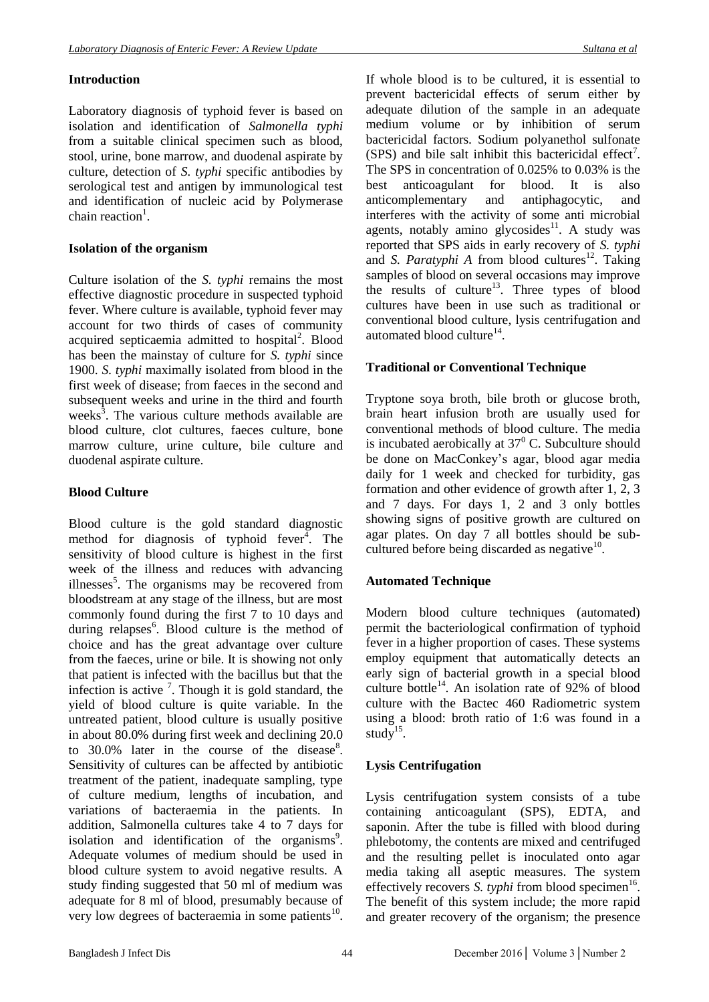### **Introduction**

Laboratory diagnosis of typhoid fever is based on isolation and identification of *Salmonella typhi*  from a suitable clinical specimen such as blood, stool, urine, bone marrow, and duodenal aspirate by culture, detection of *S. typhi* specific antibodies by serological test and antigen by immunological test and identification of nucleic acid by Polymerase chain reaction<sup>1</sup>.

## **Isolation of the organism**

Culture isolation of the *S. typhi* remains the most effective diagnostic procedure in suspected typhoid fever. Where culture is available, typhoid fever may account for two thirds of cases of community acquired septicaemia admitted to hospital<sup>2</sup>. Blood has been the mainstay of culture for *S. typhi* since 1900. *S. typhi* maximally isolated from blood in the first week of disease; from faeces in the second and subsequent weeks and urine in the third and fourth weeks<sup>3</sup>. The various culture methods available are blood culture, clot cultures, faeces culture, bone marrow culture, urine culture, bile culture and duodenal aspirate culture.

## **Blood Culture**

Blood culture is the gold standard diagnostic method for diagnosis of typhoid fever<sup> $\overline{4}$ </sup>. The sensitivity of blood culture is highest in the first week of the illness and reduces with advancing illnesses<sup>5</sup>. The organisms may be recovered from bloodstream at any stage of the illness, but are most commonly found during the first 7 to 10 days and during relapses<sup>6</sup>. Blood culture is the method of choice and has the great advantage over culture from the faeces, urine or bile. It is showing not only that patient is infected with the bacillus but that the infection is active  $\frac{7}{1}$ . Though it is gold standard, the yield of blood culture is quite variable. In the untreated patient, blood culture is usually positive in about 80.0% during first week and declining 20.0 to  $30.0\%$  later in the course of the disease<sup>8</sup>. Sensitivity of cultures can be affected by antibiotic treatment of the patient, inadequate sampling, type of culture medium, lengths of incubation, and variations of bacteraemia in the patients. In addition, Salmonella cultures take 4 to 7 days for isolation and identification of the organisms<sup>9</sup>. Adequate volumes of medium should be used in blood culture system to avoid negative results. A study finding suggested that 50 ml of medium was adequate for 8 ml of blood, presumably because of very low degrees of bacteraemia in some patients $^{10}$ .

If whole blood is to be cultured, it is essential to prevent bactericidal effects of serum either by adequate dilution of the sample in an adequate medium volume or by inhibition of serum bactericidal factors. Sodium polyanethol sulfonate (SPS) and bile salt inhibit this bactericidal effect<sup>7</sup>. The SPS in concentration of 0.025% to 0.03% is the best anticoagulant for blood. It is also anticomplementary and antiphagocytic, and interferes with the activity of some anti microbial agents, notably amino glycosides $11$ . A study was reported that SPS aids in early recovery of *S. typhi* and *S. Paratyphi A* from blood cultures<sup>12</sup>. Taking samples of blood on several occasions may improve the results of culture<sup>13</sup>. Three types of blood cultures have been in use such as traditional or conventional blood culture, lysis centrifugation and automated blood culture<sup>14</sup>.

## **Traditional or Conventional Technique**

Tryptone soya broth, bile broth or glucose broth, brain heart infusion broth are usually used for conventional methods of blood culture. The media is incubated aerobically at  $37<sup>0</sup>$  C. Subculture should be done on MacConkey's agar, blood agar media daily for 1 week and checked for turbidity, gas formation and other evidence of growth after 1, 2, 3 and 7 days. For days 1, 2 and 3 only bottles showing signs of positive growth are cultured on agar plates. On day 7 all bottles should be subcultured before being discarded as negative<sup>10</sup>.

## **Automated Technique**

Modern blood culture techniques (automated) permit the bacteriological confirmation of typhoid fever in a higher proportion of cases. These systems employ equipment that automatically detects an early sign of bacterial growth in a special blood culture bottle $^{14}$ . An isolation rate of 92% of blood culture with the Bactec 460 Radiometric system using a blood: broth ratio of 1:6 was found in a study $15$ .

## **Lysis Centrifugation**

Lysis centrifugation system consists of a tube containing anticoagulant (SPS), EDTA, and saponin. After the tube is filled with blood during phlebotomy, the contents are mixed and centrifuged and the resulting pellet is inoculated onto agar media taking all aseptic measures. The system effectively recovers *S. typhi* from blood specimen<sup>16</sup>. The benefit of this system include; the more rapid and greater recovery of the organism; the presence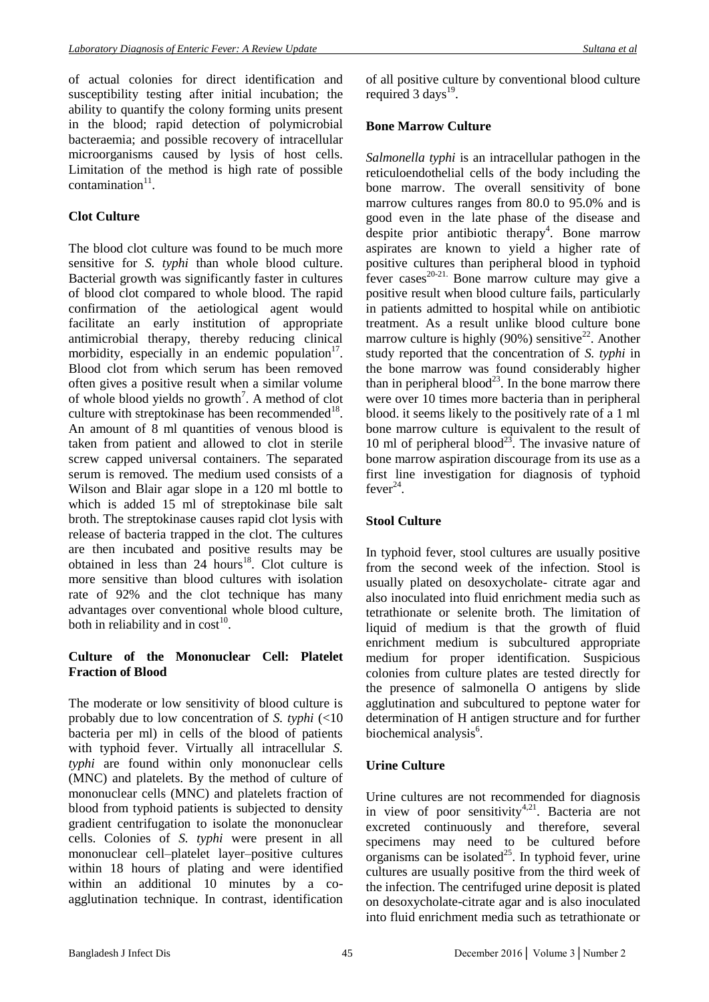of actual colonies for direct identification and susceptibility testing after initial incubation; the ability to quantify the colony forming units present in the blood; rapid detection of polymicrobial bacteraemia; and possible recovery of intracellular microorganisms caused by lysis of host cells. Limitation of the method is high rate of possible  $\text{contamination}^{11}$ .

### **Clot Culture**

The blood clot culture was found to be much more sensitive for *S. typhi* than whole blood culture. Bacterial growth was significantly faster in cultures of blood clot compared to whole blood. The rapid confirmation of the aetiological agent would facilitate an early institution of appropriate antimicrobial therapy, thereby reducing clinical morbidity, especially in an endemic population<sup>17</sup>. Blood clot from which serum has been removed often gives a positive result when a similar volume of whole blood yields no growth<sup>7</sup>. A method of clot culture with streptokinase has been recommended<sup>18</sup>. An amount of 8 ml quantities of venous blood is taken from patient and allowed to clot in sterile screw capped universal containers. The separated serum is removed. The medium used consists of a Wilson and Blair agar slope in a 120 ml bottle to which is added 15 ml of streptokinase bile salt broth. The streptokinase causes rapid clot lysis with release of bacteria trapped in the clot. The cultures are then incubated and positive results may be obtained in less than  $24$  hours<sup>18</sup>. Clot culture is more sensitive than blood cultures with isolation rate of 92% and the clot technique has many advantages over conventional whole blood culture, both in reliability and in  $cost^{10}$ .

### **Culture of the Mononuclear Cell: Platelet Fraction of Blood**

The moderate or low sensitivity of blood culture is probably due to low concentration of *S. typhi* (<10 bacteria per ml) in cells of the blood of patients with typhoid fever. Virtually all intracellular *S. typhi* are found within only mononuclear cells (MNC) and platelets. By the method of culture of mononuclear cells (MNC) and platelets fraction of blood from typhoid patients is subjected to density gradient centrifugation to isolate the mononuclear cells. Colonies of *S. typhi* were present in all mononuclear cell–platelet layer–positive cultures within 18 hours of plating and were identified within an additional 10 minutes by a coagglutination technique. In contrast, identification of all positive culture by conventional blood culture required 3 days<sup>19</sup>.

### **Bone Marrow Culture**

*Salmonella typhi* is an intracellular pathogen in the reticuloendothelial cells of the body including the bone marrow. The overall sensitivity of bone marrow cultures ranges from 80.0 to 95.0% and is good even in the late phase of the disease and despite prior antibiotic therapy<sup>4</sup>. Bone marrow aspirates are known to yield a higher rate of positive cultures than peripheral blood in typhoid  $f$ ever cases<sup>20-21</sup>. Bone marrow culture may give a positive result when blood culture fails, particularly in patients admitted to hospital while on antibiotic treatment. As a result unlike blood culture bone marrow culture is highly  $(90\%)$  sensitive<sup>22</sup>. Another study reported that the concentration of *S. typhi* in the bone marrow was found considerably higher than in peripheral blood<sup>23</sup>. In the bone marrow there were over 10 times more bacteria than in peripheral blood. it seems likely to the positively rate of a 1 ml bone marrow culture is equivalent to the result of 10 ml of peripheral blood<sup>23</sup>. The invasive nature of bone marrow aspiration discourage from its use as a first line investigation for diagnosis of typhoid fever<sup>24</sup>.

### **Stool Culture**

In typhoid fever, stool cultures are usually positive from the second week of the infection. Stool is usually plated on desoxycholate- citrate agar and also inoculated into fluid enrichment media such as tetrathionate or selenite broth. The limitation of liquid of medium is that the growth of fluid enrichment medium is subcultured appropriate medium for proper identification. Suspicious colonies from culture plates are tested directly for the presence of salmonella O antigens by slide agglutination and subcultured to peptone water for determination of H antigen structure and for further biochemical analysis<sup>6</sup>.

### **Urine Culture**

Urine cultures are not recommended for diagnosis in view of poor sensitivity<sup>4,21</sup>. Bacteria are not excreted continuously and therefore, several specimens may need to be cultured before  $organisms can be isolated<sup>25</sup>. In typhoid fever, urine$ cultures are usually positive from the third week of the infection. The centrifuged urine deposit is plated on desoxycholate-citrate agar and is also inoculated into fluid enrichment media such as tetrathionate or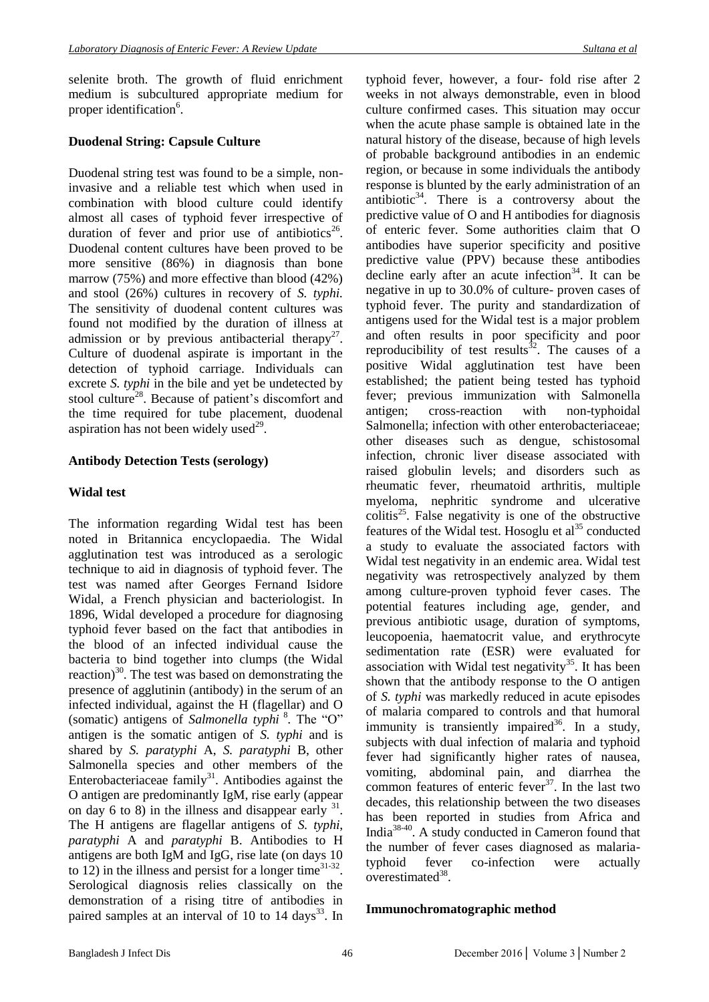selenite broth. The growth of fluid enrichment medium is subcultured appropriate medium for proper identification<sup>6</sup>.

### **Duodenal String: Capsule Culture**

Duodenal string test was found to be a simple, noninvasive and a reliable test which when used in combination with blood culture could identify almost all cases of typhoid fever irrespective of duration of fever and prior use of antibiotics<sup>26</sup>. Duodenal content cultures have been proved to be more sensitive (86%) in diagnosis than bone marrow (75%) and more effective than blood (42%) and stool (26%) cultures in recovery of *S. typhi.* The sensitivity of duodenal content cultures was found not modified by the duration of illness at admission or by previous antibacterial therapy<sup>27</sup>. Culture of duodenal aspirate is important in the detection of typhoid carriage. Individuals can excrete *S. typhi* in the bile and yet be undetected by stool culture<sup>28</sup>. Because of patient's discomfort and the time required for tube placement, duodenal aspiration has not been widely used<sup>29</sup>.

### **Antibody Detection Tests (serology)**

### **Widal test**

The information regarding Widal test has been noted in Britannica encyclopaedia. The Widal agglutination test was introduced as a serologic technique to aid in diagnosis of typhoid fever. The test was named after Georges Fernand Isidore Widal, a French physician and bacteriologist. In 1896, Widal developed a procedure for diagnosing [typhoid fever](http://www.britannica.com/EBchecked/topic/611776/typhoid-fever) based on the fact that antibodies in the blood of an infected individual cause the bacteria to bind together into clumps (the [Widal](http://www.britannica.com/EBchecked/topic/643159/Widal-reaction)  [reaction\)](http://www.britannica.com/EBchecked/topic/643159/Widal-reaction) $^{30}$ . The test was based on demonstrating the presence of agglutinin (antibody) in the serum of an infected individual, against the H (flagellar) and O (somatic) antigens of *Salmonella typhi* <sup>8</sup>. The "O" antigen is the somatic antigen of *S. typhi* and is shared by *S. paratyphi* A, *S. paratyphi* B, other Salmonella species and other members of the Enterobacteriaceae  $family<sup>31</sup>$ . Antibodies against the O antigen are predominantly IgM, rise early (appear on day 6 to 8) in the illness and disappear early  $31$ . The H antigens are flagellar antigens of *S. typhi*, *paratyphi* A and *paratyphi* B. Antibodies to H antigens are both IgM and IgG, rise late (on days 10 to 12) in the illness and persist for a longer time<sup>31-32</sup>. Serological diagnosis relies classically on the demonstration of a rising titre of antibodies in paired samples at an interval of 10 to 14 days<sup>33</sup>. In

typhoid fever, however, a four- fold rise after 2 weeks in not always demonstrable, even in blood culture confirmed cases. This situation may occur when the acute phase sample is obtained late in the natural history of the disease, because of high levels of probable background antibodies in an endemic region, or because in some individuals the antibody response is blunted by the early administration of an antibiotic<sup>34</sup>. There is a controversy about the predictive value of O and H antibodies for diagnosis of enteric fever. Some authorities claim that O antibodies have superior specificity and positive predictive value (PPV) because these antibodies  $\alpha$  decline early after an acute infection<sup>34</sup>. It can be negative in up to 30.0% of culture- proven cases of typhoid fever. The purity and standardization of antigens used for the Widal test is a major problem and often results in poor specificity and poor reproducibility of test results $^{32}$ . The causes of a positive Widal agglutination test have been established; the patient being tested has typhoid fever; previous immunization with Salmonella antigen; cross-reaction with non-typhoidal Salmonella; infection with other enterobacteriaceae; other diseases such as dengue, schistosomal infection, chronic liver disease associated with raised globulin levels; and disorders such as rheumatic fever, rheumatoid arthritis, multiple myeloma, nephritic syndrome and ulcerative  $collitis<sup>25</sup>$ . False negativity is one of the obstructive features of the Widal test. Hosoglu et  $al<sup>35</sup>$  conducted a study to evaluate the associated factors with Widal test negativity in an endemic area. Widal test negativity was retrospectively analyzed by them among culture-proven typhoid fever cases. The potential features including age, gender, and previous antibiotic usage, duration of symptoms, leucopoenia, haematocrit value, and erythrocyte sedimentation rate (ESR) were evaluated for association with Widal test negativity<sup>35</sup>. It has been shown that the antibody response to the O antigen of *S. typhi* was markedly reduced in acute episodes of malaria compared to controls and that humoral immunity is transiently impaired<sup>36</sup>. In a study, subjects with dual infection of malaria and typhoid fever had significantly higher rates of nausea, vomiting, abdominal pain, and diarrhea the common features of enteric fever $37$ . In the last two decades, this relationship between the two diseases has been reported in studies from Africa and India38-40 . A study conducted in Cameron found that the number of fever cases diagnosed as malariatyphoid fever co-infection were actually overestimated<sup>38</sup>.

#### **Immunochromatographic method**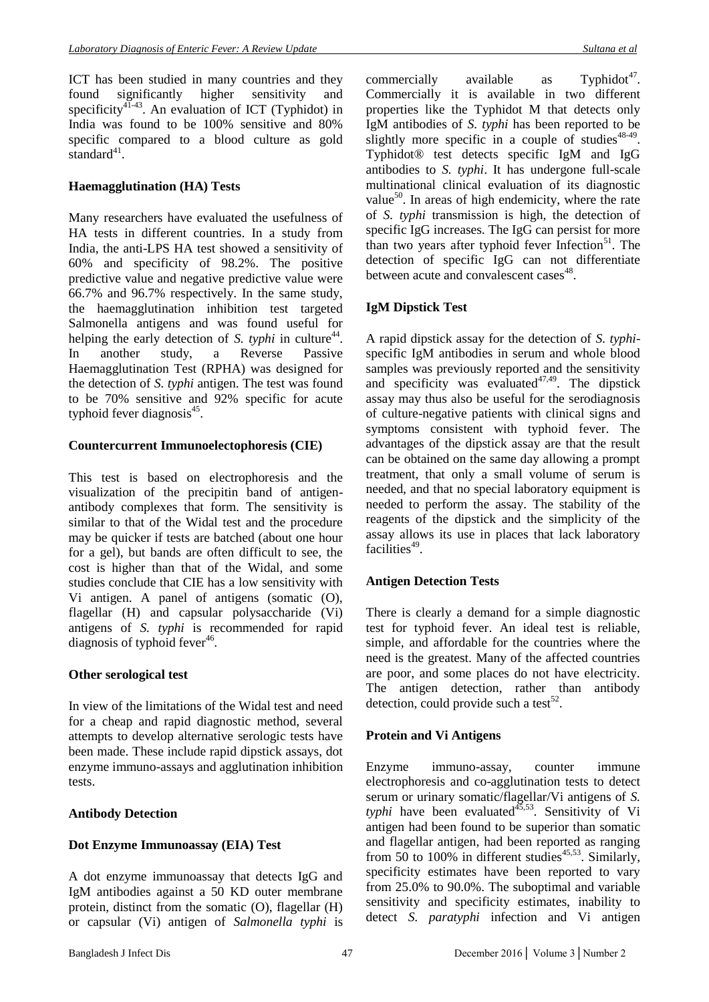ICT has been studied in many countries and they found significantly higher sensitivity and specificity<sup>41-43</sup>. An evaluation of ICT (Typhidot) in India was found to be 100% sensitive and 80% specific compared to a blood culture as gold standard<sup>41</sup>.

## **Haemagglutination (HA) Tests**

Many researchers have evaluated the usefulness of HA tests in different countries. In a study from India, the anti-LPS HA test showed a sensitivity of 60% and specificity of 98.2%. The positive predictive value and negative predictive value were 66.7% and 96.7% respectively. In the same study, the haemagglutination inhibition test targeted Salmonella antigens and was found useful for helping the early detection of *S. typhi* in culture<sup>44</sup>. In another study, a Reverse Passive Haemagglutination Test (RPHA) was designed for the detection of *S. typhi* antigen. The test was found to be 70% sensitive and 92% specific for acute typhoid fever diagnosis<sup>45</sup>.

## **Countercurrent Immunoelectophoresis (CIE)**

This test is based on electrophoresis and the visualization of the precipitin band of antigenantibody complexes that form. The sensitivity is similar to that of the Widal test and the procedure may be quicker if tests are batched (about one hour for a gel), but bands are often difficult to see, the cost is higher than that of the Widal, and some studies conclude that CIE has a low sensitivity with Vi antigen. A panel of antigens (somatic (O), flagellar (H) and capsular polysaccharide (Vi) antigens of *S. typhi* is recommended for rapid diagnosis of typhoid fever<sup>46</sup>.

### **Other serological test**

In view of the limitations of the Widal test and need for a cheap and rapid diagnostic method, several attempts to develop alternative serologic tests have been made. These include rapid dipstick assays, dot enzyme immuno-assays and agglutination inhibition tests.

## **Antibody Detection**

### **Dot Enzyme Immunoassay (EIA) Test**

A dot enzyme immunoassay that detects IgG and IgM antibodies against a 50 KD outer membrane protein, distinct from the somatic (O), flagellar (H) or capsular (Vi) antigen of *Salmonella typhi* is

commercially available as Typhidot<sup>47</sup>. Commercially it is available in two different properties like the Typhidot M that detects only IgM antibodies of *S. typhi* has been reported to be slightly more specific in a couple of studies $48-49$ . Typhidot® test detects specific IgM and IgG antibodies to *S. typhi*. It has undergone full-scale multinational clinical evaluation of its diagnostic value<sup>50</sup>. In areas of high endemicity, where the rate of *S. typhi* transmission is high, the detection of specific IgG increases. The IgG can persist for more than two years after typhoid fever Infection $51$ . The detection of specific IgG can not differentiate between acute and convalescent cases<sup>48</sup>.

## **IgM Dipstick Test**

A rapid dipstick assay for the detection of *S. typhi*specific IgM antibodies in serum and whole blood samples was previously reported and the sensitivity and specificity was evaluated $47,49$ . The dipstick assay may thus also be useful for the serodiagnosis of culture-negative patients with clinical signs and symptoms consistent with typhoid fever. The advantages of the dipstick assay are that the result can be obtained on the same day allowing a prompt treatment, that only a small volume of serum is needed, and that no special laboratory equipment is needed to perform the assay. The stability of the reagents of the dipstick and the simplicity of the assay allows its use in places that lack laboratory facilities<sup>49</sup>.

## **Antigen Detection Tests**

There is clearly a demand for a simple diagnostic test for typhoid fever. An ideal test is reliable, simple, and affordable for the countries where the need is the greatest. Many of the affected countries are poor, and some places do not have electricity. The antigen detection, rather than antibody detection, could provide such a test<sup>52</sup>.

### **Protein and Vi Antigens**

Enzyme immuno-assay, counter immune electrophoresis and co-agglutination tests to detect serum or urinary somatic/flagellar/Vi antigens of *S.*   $t$ yphi have been evaluated $4^{35,53}$ . Sensitivity of Vi antigen had been found to be superior than somatic and flagellar antigen, had been reported as ranging from 50 to 100% in different studies<sup>45,53</sup>. Similarly, specificity estimates have been reported to vary from 25.0% to 90.0%. The suboptimal and variable sensitivity and specificity estimates, inability to detect *S. paratyphi* infection and Vi antigen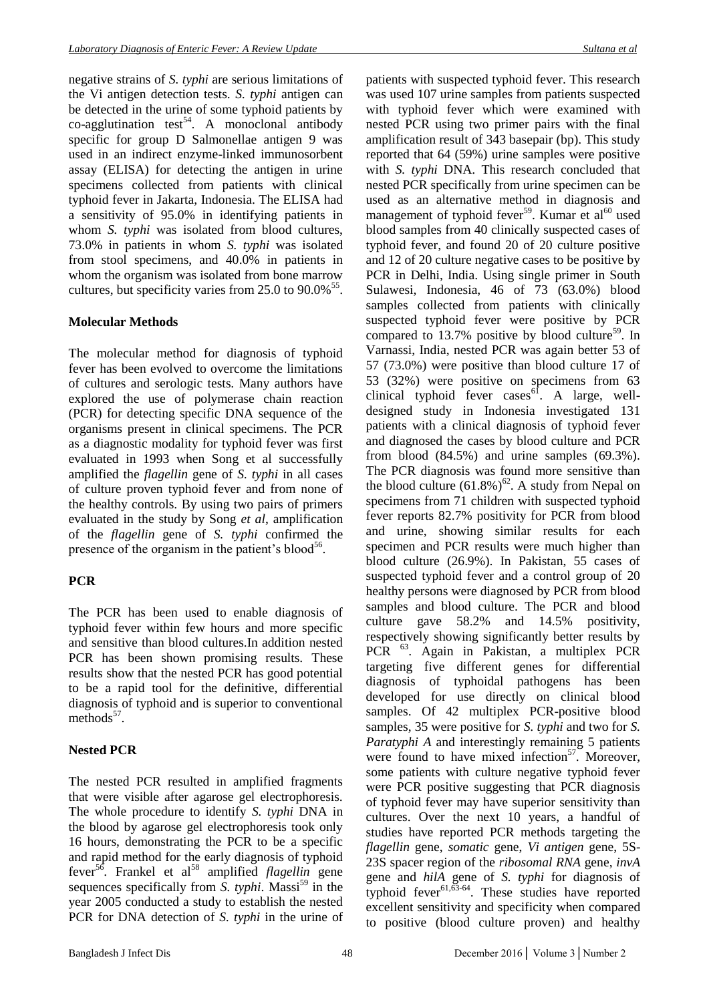negative strains of *S. typhi* are serious limitations of the Vi antigen detection tests. *S. typhi* antigen can be detected in the urine of some typhoid patients by  $\text{co-agglutination test}^{54}$ . A monoclonal antibody specific for group D Salmonellae antigen 9 was used in an indirect enzyme-linked immunosorbent assay (ELISA) for detecting the antigen in urine specimens collected from patients with clinical typhoid fever in Jakarta, Indonesia. The ELISA had a sensitivity of 95.0% in identifying patients in whom *S. typhi* was isolated from blood cultures, 73.0% in patients in whom *S. typhi* was isolated from stool specimens, and 40.0% in patients in whom the organism was isolated from bone marrow cultures, but specificity varies from 25.0 to 90.0%<sup>55</sup>.

## **Molecular Methods**

The molecular method for diagnosis of typhoid fever has been evolved to overcome the limitations of cultures and serologic tests. Many authors have explored the use of polymerase chain reaction (PCR) for detecting specific DNA sequence of the organisms present in clinical specimens. The PCR as a diagnostic modality for typhoid fever was first evaluated in 1993 when Song et al successfully amplified the *flagellin* gene of *S. typhi* in all cases of culture proven typhoid fever and from none of the healthy controls. By using two pairs of primers evaluated in the study by Song *et al*, amplification of the *flagellin* gene of *S. typhi* confirmed the presence of the organism in the patient's blood<sup>56</sup>.

## **PCR**

The PCR has been used to enable diagnosis of typhoid fever within few hours and more specific and sensitive than blood cultures.In addition nested PCR has been shown promising results. These results show that the nested PCR has good potential to be a rapid tool for the definitive, differential diagnosis of typhoid and is superior to conventional  $methods<sup>57</sup>$ .

## **Nested PCR**

The nested PCR resulted in amplified fragments that were visible after agarose gel electrophoresis. The whole procedure to identify *S. typhi* DNA in the blood by agarose gel electrophoresis took only 16 hours, demonstrating the PCR to be a specific and rapid method for the early diagnosis of typhoid fever<sup>56</sup>. Frankel et al<sup>58</sup> amplified *flagellin* gene sequences specifically from *S. typhi*. Massi<sup>59</sup> in the year 2005 conducted a study to establish the nested PCR for DNA detection of *S. typhi* in the urine of

patients with suspected typhoid fever. This research was used 107 urine samples from patients suspected with typhoid fever which were examined with nested PCR using two primer pairs with the final amplification result of 343 basepair (bp). This study reported that 64 (59%) urine samples were positive with *S. typhi* DNA. This research concluded that nested PCR specifically from urine specimen can be used as an alternative method in diagnosis and management of typhoid fever<sup>59</sup>. Kumar et al<sup>60</sup> used blood samples from 40 clinically suspected cases of typhoid fever, and found 20 of 20 culture positive and 12 of 20 culture negative cases to be positive by PCR in Delhi, India. Using single primer in South Sulawesi, Indonesia, 46 of 73 (63.0%) blood samples collected from patients with clinically suspected typhoid fever were positive by PCR compared to  $13.7\%$  positive by blood culture<sup>59</sup>. In Varnassi, India, nested PCR was again better 53 of 57 (73.0%) were positive than blood culture 17 of 53 (32%) were positive on specimens from 63 clinical typhoid fever  $cases^{6}$ . A large, welldesigned study in Indonesia investigated 131 patients with a clinical diagnosis of typhoid fever and diagnosed the cases by blood culture and PCR from blood (84.5%) and urine samples (69.3%). The PCR diagnosis was found more sensitive than the blood culture  $(61.8\%)^{62}$ . A study from Nepal on specimens from 71 children with suspected typhoid fever reports 82.7% positivity for PCR from blood and urine, showing similar results for each specimen and PCR results were much higher than blood culture (26.9%). In Pakistan, 55 cases of suspected typhoid fever and a control group of 20 healthy persons were diagnosed by PCR from blood samples and blood culture. The PCR and blood culture gave 58.2% and 14.5% positivity, respectively showing significantly better results by PCR <sup>63</sup>. Again in Pakistan, a multiplex PCR targeting five different genes for differential diagnosis of typhoidal pathogens has been developed for use directly on clinical blood samples. Of 42 multiplex PCR-positive blood samples, 35 were positive for *S. typhi* and two for *S. Paratyphi A* and interestingly remaining 5 patients were found to have mixed infection $57$ . Moreover, some patients with culture negative typhoid fever were PCR positive suggesting that PCR diagnosis of typhoid fever may have superior sensitivity than cultures. Over the next 10 years, a handful of studies have reported PCR methods targeting the *flagellin* gene, *somatic* gene, *Vi antigen* gene, 5S-23S spacer region of the *ribosomal RNA* gene, *invA* gene and *hilA* gene of *S. typhi* for diagnosis of typhoid fever $61,63-64$ . These studies have reported excellent sensitivity and specificity when compared to positive (blood culture proven) and healthy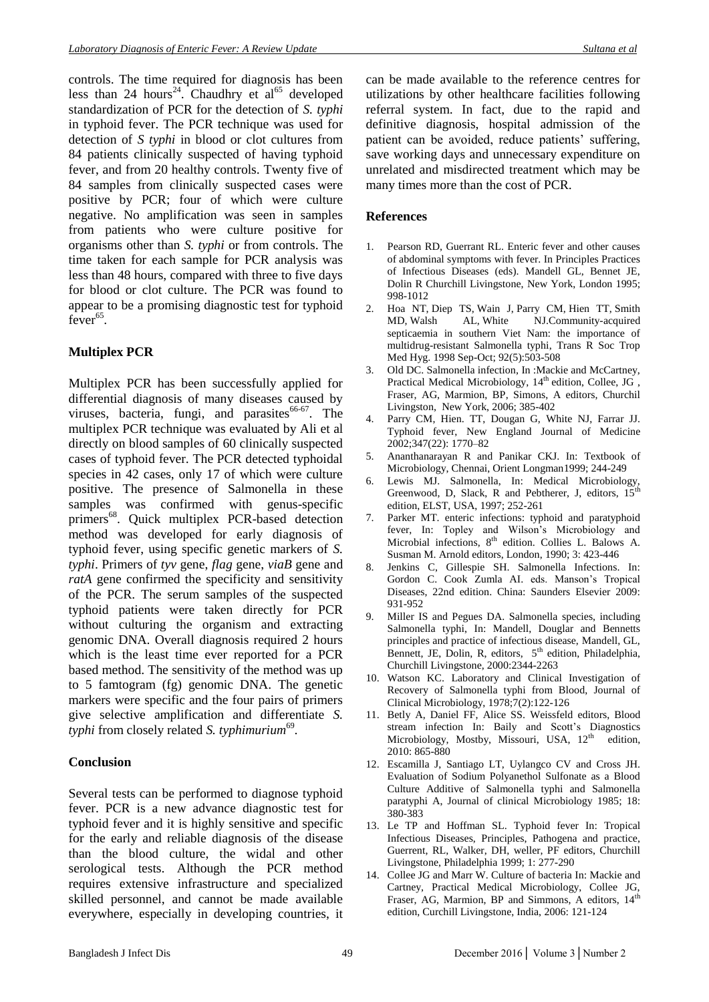controls. The time required for diagnosis has been less than 24 hours<sup>24</sup>. Chaudhry et al<sup>65</sup> developed standardization of PCR for the detection of *S. typhi* in typhoid fever. The PCR technique was used for detection of *S typhi* in blood or clot cultures from 84 patients clinically suspected of having typhoid fever, and from 20 healthy controls. Twenty five of 84 samples from clinically suspected cases were positive by PCR; four of which were culture negative. No amplification was seen in samples from patients who were culture positive for organisms other than *S. typhi* or from controls. The time taken for each sample for PCR analysis was less than 48 hours, compared with three to five days for blood or clot culture. The PCR was found to appear to be a promising diagnostic test for typhoid  $fever^{65}$ .

## **Multiplex PCR**

Multiplex PCR has been successfully applied for differential diagnosis of many diseases caused by viruses, bacteria, fungi, and parasites<sup>66-67</sup>. The multiplex PCR technique was evaluated by Ali et al directly on blood samples of 60 clinically suspected cases of typhoid fever. The PCR detected typhoidal species in 42 cases, only 17 of which were culture positive. The presence of Salmonella in these samples was confirmed with genus-specific primers<sup>68</sup>. Quick multiplex PCR-based detection method was developed for early diagnosis of typhoid fever, using specific genetic markers of *S. typhi*. Primers of *tyv* gene, *flag* gene, *viaB* gene and *ratA* gene confirmed the specificity and sensitivity of the PCR. The serum samples of the suspected typhoid patients were taken directly for PCR without culturing the organism and extracting genomic DNA. Overall diagnosis required 2 hours which is the least time ever reported for a PCR based method. The sensitivity of the method was up to 5 famtogram (fg) genomic DNA. The genetic markers were specific and the four pairs of primers give selective amplification and differentiate *S.*  typhi from closely related *S. typhimurium*<sup>69</sup>.

### **Conclusion**

Several tests can be performed to diagnose typhoid fever. PCR is a new advance diagnostic test for typhoid fever and it is highly sensitive and specific for the early and reliable diagnosis of the disease than the blood culture, the widal and other serological tests. Although the PCR method requires extensive infrastructure and specialized skilled personnel, and cannot be made available everywhere, especially in developing countries, it can be made available to the reference centres for utilizations by other healthcare facilities following referral system. In fact, due to the rapid and definitive diagnosis, hospital admission of the patient can be avoided, reduce patients' suffering, save working days and unnecessary expenditure on unrelated and misdirected treatment which may be many times more than the cost of PCR.

### **References**

- 1. Pearson RD, Guerrant RL. Enteric fever and other causes of abdominal symptoms with fever. In Principles Practices of Infectious Diseases (eds). Mandell GL, Bennet JE, Dolin R Churchill Livingstone, New York, London 1995; 998-1012
- 2. [Hoa NT,](https://www.ncbi.nlm.nih.gov/pubmed/?term=Hoa%20NT%5BAuthor%5D&cauthor=true&cauthor_uid=9861362) [Diep TS,](https://www.ncbi.nlm.nih.gov/pubmed/?term=Diep%20TS%5BAuthor%5D&cauthor=true&cauthor_uid=9861362) [Wain J,](https://www.ncbi.nlm.nih.gov/pubmed/?term=Wain%20J%5BAuthor%5D&cauthor=true&cauthor_uid=9861362) [Parry CM,](https://www.ncbi.nlm.nih.gov/pubmed/?term=Parry%20CM%5BAuthor%5D&cauthor=true&cauthor_uid=9861362) [Hien TT,](https://www.ncbi.nlm.nih.gov/pubmed/?term=Hien%20TT%5BAuthor%5D&cauthor=true&cauthor_uid=9861362) [Smith](https://www.ncbi.nlm.nih.gov/pubmed/?term=Smith%20MD%5BAuthor%5D&cauthor=true&cauthor_uid=9861362)  [MD,](https://www.ncbi.nlm.nih.gov/pubmed/?term=Smith%20MD%5BAuthor%5D&cauthor=true&cauthor_uid=9861362) [Walsh AL,](https://www.ncbi.nlm.nih.gov/pubmed/?term=Walsh%20AL%5BAuthor%5D&cauthor=true&cauthor_uid=9861362) [White NJ.C](https://www.ncbi.nlm.nih.gov/pubmed/?term=White%20NJ%5BAuthor%5D&cauthor=true&cauthor_uid=9861362)ommunity-acquired septicaemia in southern Viet Nam: the importance of multidrug-resistant Salmonella typhi, [Trans R Soc Trop](https://www.ncbi.nlm.nih.gov/pubmed/9861362)  [Med Hyg.](https://www.ncbi.nlm.nih.gov/pubmed/9861362) 1998 Sep-Oct; 92(5):503-508
- 3. Old DC. Salmonella infection, In :Mackie and McCartney, Practical Medical Microbiology, 14<sup>th</sup> edition, Collee, JG, Fraser, AG, Marmion, BP, Simons, A editors, Churchil Livingston, New York, 2006; 385-402
- 4. Parry CM, Hien. TT, Dougan G, White NJ, Farrar JJ. Typhoid fever, New England Journal of Medicine 2002;347(22): 1770–82
- 5. Ananthanarayan R and Panikar CKJ. In: Textbook of Microbiology, Chennai, Orient Longman1999; 244-249
- 6. Lewis MJ. Salmonella, In: Medical Microbiology, Greenwood, D, Slack, R and Pebtherer, J, editors,  $15<sup>th</sup>$ edition, ELST, USA, 1997; 252-261
- 7. Parker MT. enteric infections: typhoid and paratyphoid fever, In: Topley and Wilson's Microbiology and Microbial infections, 8<sup>th</sup> edition. Collies L. Balows A. Susman M. Arnold editors, London, 1990; 3: 423-446
- 8. Jenkins C, Gillespie SH. Salmonella Infections. In: Gordon C. Cook Zumla AI. eds. Manson's Tropical Diseases, 22nd edition. China: Saunders Elsevier 2009: 931-952
- 9. Miller IS and Pegues DA. Salmonella species, including Salmonella typhi, In: Mandell, Douglar and Bennetts principles and practice of infectious disease, Mandell, GL, Bennett, JE, Dolin, R, editors, 5<sup>th</sup> edition, Philadelphia, Churchill Livingstone, 2000:2344-2263
- 10. Watson KC. Laboratory and Clinical Investigation of Recovery of Salmonella typhi from Blood, Journal of Clinical Microbiology, 1978;7(2):122-126
- 11. Betly A, Daniel FF, Alice SS. Weissfeld editors, Blood stream infection In: Baily and Scott's Diagnostics Microbiology, Mostby, Missouri, USA, 12<sup>th</sup> edition, 2010: 865-880
- 12. Escamilla J, Santiago LT, Uylangco CV and Cross JH. Evaluation of Sodium Polyanethol Sulfonate as a Blood Culture Additive of Salmonella typhi and Salmonella paratyphi A, Journal of clinical Microbiology 1985; 18: 380-383
- 13. Le TP and Hoffman SL. Typhoid fever In: Tropical Infectious Diseases, Principles, Pathogena and practice, Guerrent, RL, Walker, DH, weller, PF editors, Churchill Livingstone, Philadelphia 1999; 1: 277-290
- 14. Collee JG and Marr W. Culture of bacteria In: Mackie and Cartney, Practical Medical Microbiology, Collee JG, Fraser, AG, Marmion, BP and Simmons, A editors,  $14<sup>th</sup>$ edition, Curchill Livingstone, India, 2006: 121-124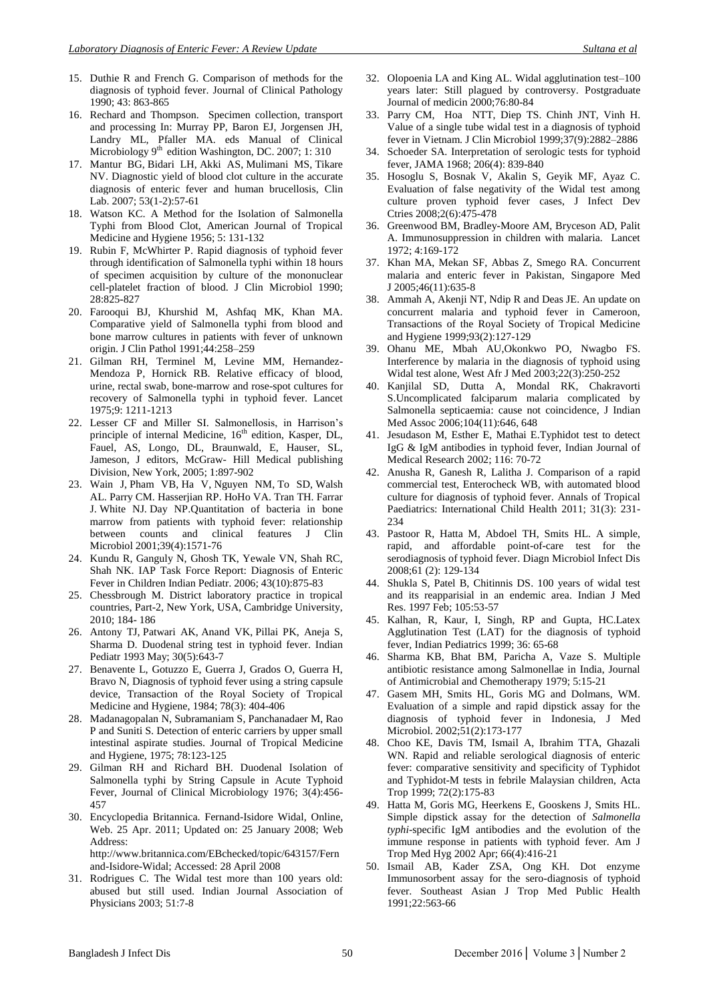- 15. Duthie R and French G. Comparison of methods for the diagnosis of typhoid fever. Journal of Clinical Pathology 1990; 43: 863-865
- 16. Rechard and Thompson. Specimen collection, transport and processing In: Murray PP, Baron EJ, Jorgensen JH, Landry ML, Pfaller MA. eds Manual of Clinical Microbiology 9<sup>th</sup> edition Washington, DC. 2007; 1: 310
- 17. [Mantur BG,](https://www.ncbi.nlm.nih.gov/pubmed/?term=Mantur%20BG%5BAuthor%5D&cauthor=true&cauthor_uid=17323826) [Bidari LH,](https://www.ncbi.nlm.nih.gov/pubmed/?term=Bidari%20LH%5BAuthor%5D&cauthor=true&cauthor_uid=17323826) [Akki AS,](https://www.ncbi.nlm.nih.gov/pubmed/?term=Akki%20AS%5BAuthor%5D&cauthor=true&cauthor_uid=17323826) [Mulimani MS,](https://www.ncbi.nlm.nih.gov/pubmed/?term=Mulimani%20MS%5BAuthor%5D&cauthor=true&cauthor_uid=17323826) [Tikare](https://www.ncbi.nlm.nih.gov/pubmed/?term=Tikare%20NV%5BAuthor%5D&cauthor=true&cauthor_uid=17323826)  [NV.](https://www.ncbi.nlm.nih.gov/pubmed/?term=Tikare%20NV%5BAuthor%5D&cauthor=true&cauthor_uid=17323826) Diagnostic yield of blood clot culture in the accurate diagnosis of enteric fever and human brucellosis, [Clin](https://www.ncbi.nlm.nih.gov/pubmed/17323826)  [Lab.](https://www.ncbi.nlm.nih.gov/pubmed/17323826) 2007; 53(1-2):57-61
- 18. Watson KC. A Method for the Isolation of Salmonella Typhi from Blood Clot, American Journal of Tropical Medicine and Hygiene 1956; 5: 131-132
- 19. Rubin F, McWhirter P. Rapid diagnosis of typhoid fever through identification of Salmonella typhi within 18 hours of specimen acquisition by culture of the mononuclear cell-platelet fraction of blood. J Clin Microbiol 1990; 28:825-827
- 20. Farooqui BJ, Khurshid M, Ashfaq MK, Khan MA. Comparative yield of Salmonella typhi from blood and bone marrow cultures in patients with fever of unknown origin. J Clin Pathol 1991;44:258–259
- 21. Gilman RH, Terminel M, Levine MM, Hernandez-Mendoza P, Hornick RB. Relative efficacy of blood, urine, rectal swab, bone-marrow and rose-spot cultures for recovery of Salmonella typhi in typhoid fever. Lancet 1975;9: 1211-1213
- 22. Lesser CF and Miller SI. Salmonellosis, in Harrison's principle of internal Medicine, 16<sup>th</sup> edition, Kasper, DL, Fauel, AS, Longo, DL, Braunwald, E, Hauser, SL, Jameson, J editors, McGraw- Hill Medical publishing Division, New York, 2005; 1:897-902
- 23. [Wain J,](https://www.ncbi.nlm.nih.gov/pubmed/?term=Wain%20J%5BAuthor%5D&cauthor=true&cauthor_uid=11283089) [Pham VB,](https://www.ncbi.nlm.nih.gov/pubmed/?term=Pham%20VB%5BAuthor%5D&cauthor=true&cauthor_uid=11283089) [Ha V,](https://www.ncbi.nlm.nih.gov/pubmed/?term=Ha%20V%5BAuthor%5D&cauthor=true&cauthor_uid=11283089) [Nguyen NM,](https://www.ncbi.nlm.nih.gov/pubmed/?term=Nguyen%20NM%5BAuthor%5D&cauthor=true&cauthor_uid=11283089) [To SD,](https://www.ncbi.nlm.nih.gov/pubmed/?term=To%20SD%5BAuthor%5D&cauthor=true&cauthor_uid=11283089) [Walsh](https://www.ncbi.nlm.nih.gov/pubmed/?term=Walsh%20AL%5BAuthor%5D&cauthor=true&cauthor_uid=11283089)  [AL.](https://www.ncbi.nlm.nih.gov/pubmed/?term=Walsh%20AL%5BAuthor%5D&cauthor=true&cauthor_uid=11283089) [Parry CM.](https://www.ncbi.nlm.nih.gov/pubmed/?term=Parry%20CM%5BAuthor%5D&cauthor=true&cauthor_uid=11283089) [Hasserjian RP.](https://www.ncbi.nlm.nih.gov/pubmed/?term=Hasserjian%20RP%5BAuthor%5D&cauthor=true&cauthor_uid=11283089) [HoHo VA.](https://www.ncbi.nlm.nih.gov/pubmed/?term=HoHo%20VA%5BAuthor%5D&cauthor=true&cauthor_uid=11283089) [Tran TH.](https://www.ncbi.nlm.nih.gov/pubmed/?term=Tran%20TH%5BAuthor%5D&cauthor=true&cauthor_uid=11283089) [Farrar](https://www.ncbi.nlm.nih.gov/pubmed/?term=Farrar%20J%5BAuthor%5D&cauthor=true&cauthor_uid=11283089)  [J.](https://www.ncbi.nlm.nih.gov/pubmed/?term=Farrar%20J%5BAuthor%5D&cauthor=true&cauthor_uid=11283089) [White NJ.](https://www.ncbi.nlm.nih.gov/pubmed/?term=White%20NJ%5BAuthor%5D&cauthor=true&cauthor_uid=11283089) [Day NP.](https://www.ncbi.nlm.nih.gov/pubmed/?term=Day%20NP%5BAuthor%5D&cauthor=true&cauthor_uid=11283089)Quantitation of bacteria in bone marrow from patients with typhoid fever: relationship between counts and clinical features [J Clin](https://www.ncbi.nlm.nih.gov/pubmed/11283089)  [Microbiol](https://www.ncbi.nlm.nih.gov/pubmed/11283089) 2001;39(4):1571-76
- 24. Kundu R, Ganguly N, Ghosh TK, Yewale VN, Shah RC, Shah NK. IAP Task Force Report: Diagnosis of Enteric Fever in Children [Indian Pediatr.](https://www.ncbi.nlm.nih.gov/pubmed/17079830) 2006; 43(10):875-83
- 25. Chessbrough M. District laboratory practice in tropical countries, Part-2, New York, USA, Cambridge University, 2010; 184- 186
- 26. [Antony TJ,](https://www.ncbi.nlm.nih.gov/pubmed/?term=Antony%20TJ%5BAuthor%5D&cauthor=true&cauthor_uid=8282391) [Patwari AK,](https://www.ncbi.nlm.nih.gov/pubmed/?term=Patwari%20AK%5BAuthor%5D&cauthor=true&cauthor_uid=8282391) [Anand VK,](https://www.ncbi.nlm.nih.gov/pubmed/?term=Anand%20VK%5BAuthor%5D&cauthor=true&cauthor_uid=8282391) [Pillai PK,](https://www.ncbi.nlm.nih.gov/pubmed/?term=Pillai%20PK%5BAuthor%5D&cauthor=true&cauthor_uid=8282391) [Aneja S,](https://www.ncbi.nlm.nih.gov/pubmed/?term=Aneja%20S%5BAuthor%5D&cauthor=true&cauthor_uid=8282391) [Sharma D.](https://www.ncbi.nlm.nih.gov/pubmed/?term=Sharma%20D%5BAuthor%5D&cauthor=true&cauthor_uid=8282391) Duodenal string test in typhoid fever. [Indian](https://www.ncbi.nlm.nih.gov/pubmed/8282391)  [Pediatr](https://www.ncbi.nlm.nih.gov/pubmed/8282391) 1993 May; 30(5):643-7
- 27. [Benavente L,](http://www.ncbi.nlm.nih.gov/pubmed?term=%22Benavente%20L%22%5BAuthor%5D) [Gotuzzo E,](http://www.ncbi.nlm.nih.gov/pubmed?term=%22Gotuzzo%20E%22%5BAuthor%5D) [Guerra J,](http://www.ncbi.nlm.nih.gov/pubmed?term=%22Guerra%20J%22%5BAuthor%5D) [Grados](http://www.ncbi.nlm.nih.gov/pubmed?term=%22Grados%20O%22%5BAuthor%5D) O, [Guerra H,](http://www.ncbi.nlm.nih.gov/pubmed?term=%22Guerra%20H%22%5BAuthor%5D) [Bravo](http://www.ncbi.nlm.nih.gov/pubmed?term=%22Bravo%20N%22%5BAuthor%5D) N, Diagnosis of typhoid fever using a string capsule device, [Transaction of the Royal Society of Tropical](javascript:AL_get(this,%20)  [Medicine and Hygiene,](javascript:AL_get(this,%20) 1984; 78(3): 404-406
- 28. Madanagopalan N, Subramaniam S, Panchanadaer M, Rao P and Suniti S. Detection of enteric carriers by upper small intestinal aspirate studies. Journal of Tropical Medicine and Hygiene, 1975; 78:123-125
- 29. Gilman RH and Richard BH. Duodenal Isolation of Salmonella typhi by String Capsule in Acute Typhoid Fever, Journal of Clinical Microbiology 1976; 3(4):456- 457
- 30. Encyclopedia Britannica. Fernand-Isidore Widal, Online, Web. 25 Apr. 2011; Updated on: 25 January 2008; Web Address: [http://www.britannica.com/EBchecked/topic/643157/Fern](http://www.britannica.com/EBchecked/%20topic/643157/Fernand-Isidore-Widal)
	- [and-Isidore-Widal;](http://www.britannica.com/EBchecked/%20topic/643157/Fernand-Isidore-Widal) Accessed: 28 April 2008
- 31. Rodrigues C. The Widal test more than 100 years old: abused but still used. Indian Journal Association of Physicians 2003; 51:7-8
- 32. Olopoenia LA and King AL. Widal agglutination test–100 years later: Still plagued by controversy. Postgraduate Journal of medicin 2000;76:80-84
- 33. [Parry](http://jcm.asm.org/search?author1=Christopher+M.+Parry&sortspec=date&submit=Submit) CM, [Hoa](http://jcm.asm.org/search?author1=Nguyen+Thi+Tuyet+Hoa&sortspec=date&submit=Submit) NTT, [Diep](http://jcm.asm.org/search?author1=To+Song+Diep&sortspec=date&submit=Submit) TS. Chinh JNT, [Vinh](http://jcm.asm.org/search?author1=Ha+Vinh&sortspec=date&submit=Submit) H. Value of a single tube widal test in a diagnosis of typhoid fever in Vietnam. J Clin Microbiol 1999;37(9):2882–2886
- 34. Schoeder SA. Interpretation of serologic tests for typhoid fever, [JAMA](https://www.ncbi.nlm.nih.gov/pubmed/5695671) 1968; 206(4): 839-840
- 35. Hosoglu S, Bosnak V, Akalin S, Geyik MF, Ayaz C. Evaluation of false negativity of the Widal test among culture proven typhoid fever cases, [J Infect Dev](https://www.ncbi.nlm.nih.gov/pubmed/19745527)  [Ctries](https://www.ncbi.nlm.nih.gov/pubmed/19745527) 2008;2(6):475-478
- 36. Greenwood BM, Bradley-Moore AM, Bryceson AD, Palit A. Immunosuppression in children with malaria. Lancet 1972; 4:169-172
- 37. Khan MA, Mekan SF, Abbas Z, Smego RA. Concurrent malaria and enteric fever in Pakistan, [Singapore Med](https://www.ncbi.nlm.nih.gov/pubmed/16228096)  [J](https://www.ncbi.nlm.nih.gov/pubmed/16228096) 2005;46(11):635-8
- 38. Ammah A, Akenji NT, Ndip R and Deas JE. An update on concurrent malaria and typhoid fever in Cameroon, [Transactions of the Royal Society of Tropical Medicine](https://www.researchgate.net/journal/0035-9203_Transactions_of_the_Royal_Society_of_Tropical_Medicine_and_Hygiene)  [and Hygiene](https://www.researchgate.net/journal/0035-9203_Transactions_of_the_Royal_Society_of_Tropical_Medicine_and_Hygiene) 1999;93(2):127-129
- 39. Ohanu ME, Mbah AU,Okonkwo PO, Nwagbo FS. Interference by malaria in the diagnosis of typhoid using Widal test alone[, West Afr J Med](https://www.ncbi.nlm.nih.gov/pubmed/14696952) 2003;22(3):250-252
- 40. Kanjilal SD, Dutta A, Mondal RK, Chakravorti S.Uncomplicated falciparum malaria complicated by Salmonella septicaemia: cause not coincidence, [J Indian](https://www.ncbi.nlm.nih.gov/pubmed/17444068)  [Med Assoc](https://www.ncbi.nlm.nih.gov/pubmed/17444068) 2006;104(11):646, 648
- 41. Jesudason M, Esther E, Mathai E.Typhidot test to detect IgG & IgM antibodies in typhoid fever, Indian Journal of Medical Research 2002; 116: 70-72
- 42. Anusha R, Ganesh R, Lalitha J. Comparison of a rapid commercial test, Enterocheck WB, with automated blood culture for diagnosis of typhoid fever. [Annals of Tropical](http://www.ingentaconnect.com/content/maney/atp;jsessionid=46w705qf54oks.alice)  [Paediatrics: International Child Health](http://www.ingentaconnect.com/content/maney/atp;jsessionid=46w705qf54oks.alice) 2011; 31(3): 231- 234
- 43. Pastoor R, Hatta M, Abdoel TH, Smits HL. A simple, rapid, and affordable point-of-care test for the serodiagnosis of typhoid fever. Diagn Microbiol Infect Dis 2008;61 (2): 129-134
- 44. Shukla S, Patel B, Chitinnis DS. 100 years of widal test and its reapparisial in an endemic area. [Indian J Med](https://www.ncbi.nlm.nih.gov/pubmed/9055495)  [Res.](https://www.ncbi.nlm.nih.gov/pubmed/9055495) 1997 Feb; 105:53-57
- 45. Kalhan, R, Kaur, I, Singh, RP and Gupta, HC.Latex Agglutination Test (LAT) for the diagnosis of typhoid fever, Indian Pediatrics 1999; 36: 65-68
- 46. Sharma KB, Bhat BM, Paricha A, Vaze S. Multiple antibiotic resistance among Salmonellae in India, Journal of Antimicrobial and Chemotherapy 1979; 5:15-21
- 47. Gasem MH, Smits HL, Goris MG and Dolmans, WM. Evaluation of a simple and rapid dipstick assay for the diagnosis of typhoid fever in Indonesia, [J Med](https://www.ncbi.nlm.nih.gov/pubmed/11865843)  [Microbiol.](https://www.ncbi.nlm.nih.gov/pubmed/11865843) 2002;51(2):173-177
- 48. Choo KE, Davis TM, Ismail A, Ibrahim TTA, Ghazali WN. Rapid and reliable serological diagnosis of enteric fever: comparative sensitivity and specificity of Typhidot and Typhidot-M tests in febrile Malaysian children, Acta Trop 1999; 72(2):175-83
- 49. Hatta M, Goris MG, Heerkens E, Gooskens J, Smits HL. Simple dipstick assay for the detection of *Salmonella typhi*-specific IgM antibodies and the evolution of the immune response in patients with typhoid fever. [Am J](https://www.ncbi.nlm.nih.gov/pubmed/12164298)  [Trop Med Hyg](https://www.ncbi.nlm.nih.gov/pubmed/12164298) 2002 Apr; 66(4):416-21
- 50. Ismail AB, Kader ZSA, Ong KH. Dot enzyme Immunosorbent assay for the sero-diagnosis of typhoid fever. Southeast Asian J Trop Med Public Health 1991;22:563-66